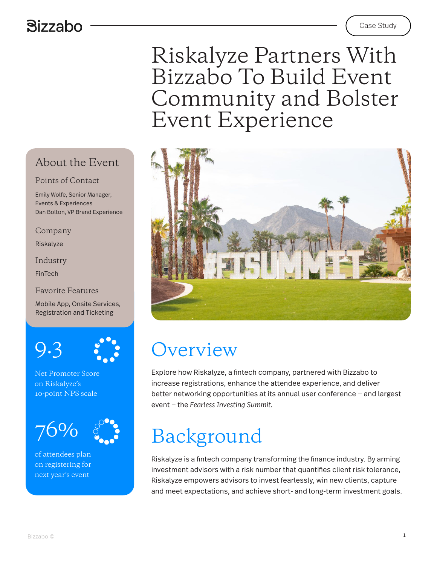### **Bizzabo**

### Riskalyze Partners With Bizzabo To Build Event Community and Bolster Event Experience



### **Overview**

Explore how Riskalyze, a fintech company, partnered with Bizzabo to increase registrations, enhance the attendee experience, and deliver better networking opportunities at its annual user conference — and largest event — the *Fearless Investing Summit.*

# Background

Riskalyze is a fintech company transforming the finance industry. By arming investment advisors with a risk number that quantifies client risk tolerance, Riskalyze empowers advisors to invest fearlessly, win new clients, capture and meet expectations, and achieve short- and long-term investment goals.

#### About the Event

#### Points of Contact

Emily Wolfe, Senior Manager, Events & Experiences Dan Bolton, VP Brand Experience

Company

Riskalyze

Industry

FinTech

Favorite Features

Mobile App, Onsite Services, Registration and Ticketing

9.3



Net Promoter Score on Riskalyze's 10-point NPS scale

76%

of attendees plan on registering for next year's event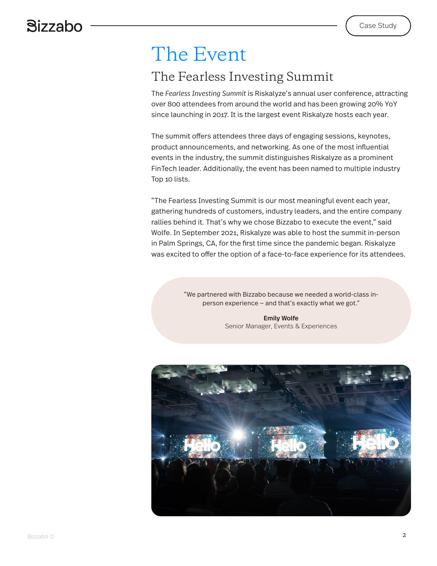### The Event

### The Fearless Investing Summit

The *Fearless Investing Summit* is Riskalyze's annual user conference, attracting over 800 attendees from around the world and has been growing 20% YoY since launching in 2017. It is the largest event Riskalyze hosts each year.

The summit offers attendees three days of engaging sessions, keynotes, product announcements, and networking. As one of the most influential events in the industry, the summit distinguishes Riskalyze as a prominent FinTech leader. Additionally, the event has been named to multiple industry Top 10 lists.

"The Fearless Investing Summit is our most meaningful event each year, gathering hundreds of customers, industry leaders, and the entire company rallies behind it. That's why we chose Bizzabo to execute the event," said Wolfe. In September 2021, Riskalyze was able to host the summit in-person in Palm Springs, CA, for the first time since the pandemic began. Riskalyze was excited to offer the option of a face-to-face experience for its attendees.

> "We partnered with Bizzabo because we needed a world-class inperson experience — and that's exactly what we got."

> > Emily Wolfe Senior Manager, Events & Experiences

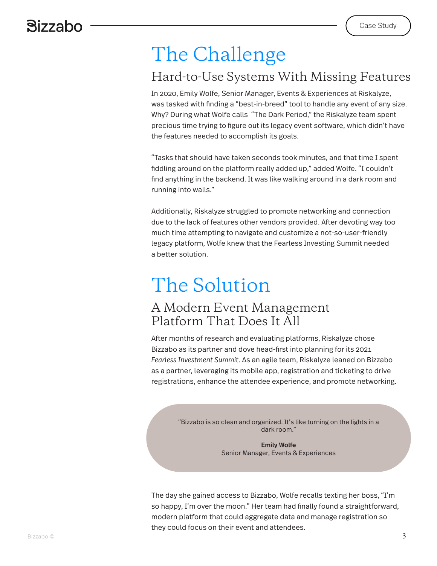# The Challenge

### Hard-to-Use Systems With Missing Features

In 2020, Emily Wolfe, Senior Manager, Events & Experiences at Riskalyze, was tasked with finding a "best-in-breed" tool to handle any event of any size. Why? During what Wolfe calls "The Dark Period," the Riskalyze team spent precious time trying to figure out its legacy event software, which didn't have the features needed to accomplish its goals.

"Tasks that should have taken seconds took minutes, and that time I spent fiddling around on the platform really added up," added Wolfe. "I couldn't find anything in the backend. It was like walking around in a dark room and running into walls."

Additionally, Riskalyze struggled to promote networking and connection due to the lack of features other vendors provided. After devoting way too much time attempting to navigate and customize a not-so-user-friendly legacy platform, Wolfe knew that the Fearless Investing Summit needed a better solution.

## The Solution

#### A Modern Event Management Platform That Does It All

After months of research and evaluating platforms, Riskalyze chose Bizzabo as its partner and dove head-first into planning for its 2021 *Fearless Investment Summit*. As an agile team, Riskalyze leaned on Bizzabo as a partner, leveraging its mobile app, registration and ticketing to drive registrations, enhance the attendee experience, and promote networking.

> "Bizzabo is so clean and organized. It's like turning on the lights in a dark room."

> > Emily Wolfe Senior Manager, Events & Experiences

The day she gained access to Bizzabo, Wolfe recalls texting her boss, "I'm so happy, I'm over the moon." Her team had finally found a straightforward, modern platform that could aggregate data and manage registration so they could focus on their event and attendees.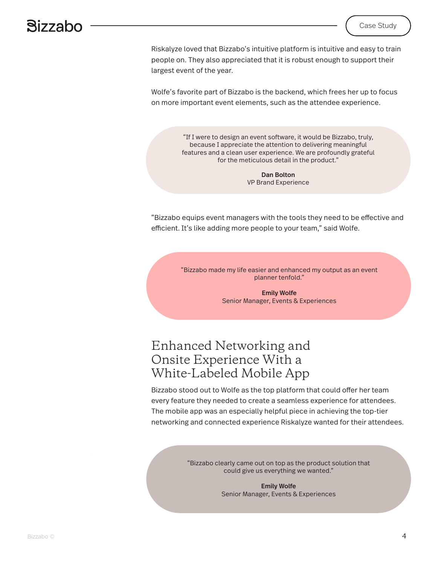Riskalyze loved that Bizzabo's intuitive platform is intuitive and easy to train people on. They also appreciated that it is robust enough to support their largest event of the year.

Wolfe's favorite part of Bizzabo is the backend, which frees her up to focus on more important event elements, such as the attendee experience.

> "If I were to design an event software, it would be Bizzabo, truly, because I appreciate the attention to delivering meaningful features and a clean user experience. We are profoundly grateful for the meticulous detail in the product."

> > Dan Bolton VP Brand Experience

"Bizzabo equips event managers with the tools they need to be effective and efficient. It's like adding more people to your team," said Wolfe.

> "Bizzabo made my life easier and enhanced my output as an event planner tenfold."

> > Emily Wolfe Senior Manager, Events & Experiences

#### Enhanced Networking and Onsite Experience With a White-Labeled Mobile App

Bizzabo stood out to Wolfe as the top platform that could offer her team every feature they needed to create a seamless experience for attendees. The mobile app was an especially helpful piece in achieving the top-tier networking and connected experience Riskalyze wanted for their attendees.

> "Bizzabo clearly came out on top as the product solution that could give us everything we wanted."

> > Emily Wolfe Senior Manager, Events & Experiences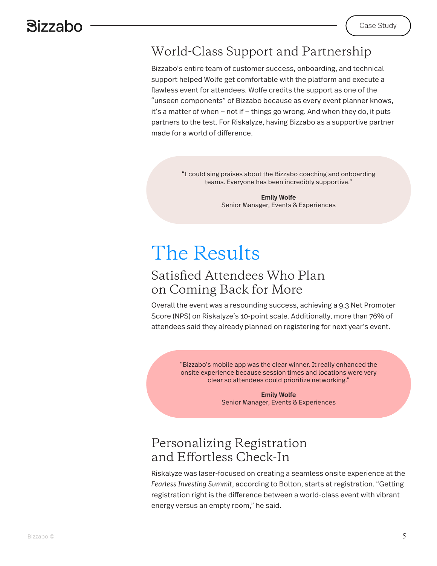### World-Class Support and Partnership

Bizzabo's entire team of customer success, onboarding, and technical support helped Wolfe get comfortable with the platform and execute a flawless event for attendees. Wolfe credits the support as one of the "unseen components" of Bizzabo because as every event planner knows, it's a matter of when — not if — things go wrong. And when they do, it puts partners to the test. For Riskalyze, having Bizzabo as a supportive partner made for a world of difference.

> "I could sing praises about the Bizzabo coaching and onboarding teams. Everyone has been incredibly supportive."

> > Emily Wolfe Senior Manager, Events & Experiences

### The Results

#### Satisfied Attendees Who Plan on Coming Back for More

Overall the event was a resounding success, achieving a 9.3 Net Promoter Score (NPS) on Riskalyze's 10-point scale. Additionally, more than 76% of attendees said they already planned on registering for next year's event.

> "Bizzabo's mobile app was the clear winner. It really enhanced the onsite experience because session times and locations were very clear so attendees could prioritize networking."

> > Emily Wolfe Senior Manager, Events & Experiences

#### Personalizing Registration and Effortless Check-In

Riskalyze was laser-focused on creating a seamless onsite experience at the *Fearless Investing Summit*, according to Bolton, starts at registration. "Getting registration right is the difference between a world-class event with vibrant energy versus an empty room," he said.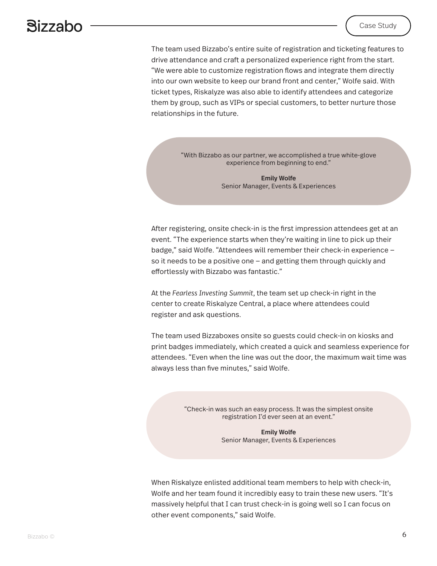The team used Bizzabo's entire suite of registration and ticketing features to drive attendance and craft a personalized experience right from the start. "We were able to customize registration flows and integrate them directly into our own website to keep our brand front and center," Wolfe said. With ticket types, Riskalyze was also able to identify attendees and categorize them by group, such as VIPs or special customers, to better nurture those relationships in the future.

> "With Bizzabo as our partner, we accomplished a true white-glove experience from beginning to end."

> > Emily Wolfe Senior Manager, Events & Experiences

After registering, onsite check-in is the first impression attendees get at an event. "The experience starts when they're waiting in line to pick up their badge," said Wolfe. "Attendees will remember their check-in experience so it needs to be a positive one — and getting them through quickly and effortlessly with Bizzabo was fantastic."

At the *Fearless Investing Summit*, the team set up check-in right in the center to create Riskalyze Central, a place where attendees could register and ask questions.

The team used Bizzaboxes onsite so guests could check-in on kiosks and print badges immediately, which created a quick and seamless experience for attendees. "Even when the line was out the door, the maximum wait time was always less than five minutes," said Wolfe.

> "Check-in was such an easy process. It was the simplest onsite registration I'd ever seen at an event."

> > Emily Wolfe Senior Manager, Events & Experiences

When Riskalyze enlisted additional team members to help with check-in, Wolfe and her team found it incredibly easy to train these new users. "It's massively helpful that I can trust check-in is going well so I can focus on other event components," said Wolfe.